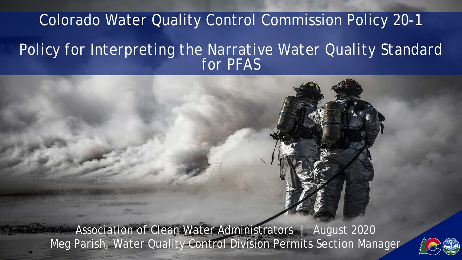## Colorado Water Quality Control Commission Policy 20-1 *Policy for Interpreting the Narrative Water Quality Standard for PFAS*

Association of Clean Water Administrators | August 2020 Meg Parish, Water Quality Control Division Permits Section Manager

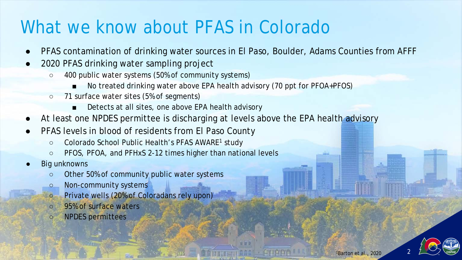## What we know about PFAS in Colorado

- PFAS contamination of drinking water sources in El Paso, Boulder, Adams Counties from AFFF
- 2020 PFAS drinking water sampling project
	- 400 public water systems (50% of community systems)
		- No treated drinking water above EPA health advisory (70 ppt for PFOA+PFOS)
	- 71 surface water sites (5% of segments)
		- Detects at all sites, one above EPA health advisory
- At least one NPDES permittee is discharging at levels above the EPA health advisory
- PFAS levels in blood of residents from El Paso County
	- Colorado School Public Health's PFAS AWARE<sup>1</sup> study
	- PFOS, PFOA, and PFHxS 2-12 times higher than national levels
- **Big unknowns** 
	- Other 50% of community public water systems
	- Non-community systems
	- Private wells (20% of Coloradans rely upon)
	- 95% of surface waters
	- NPDES permittees

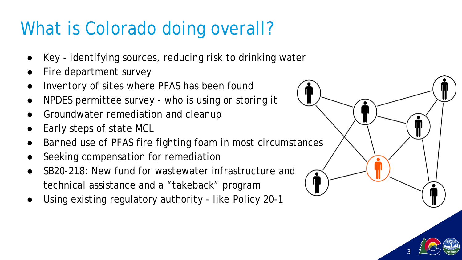## What is Colorado doing overall?

- Key identifying sources, reducing risk to drinking water
- Fire department survey
- Inventory of sites where PFAS has been found
- NPDES permittee survey who is using or storing it
- Groundwater remediation and cleanup
- Early steps of state MCL
- Banned use of PFAS fire fighting foam in most circumstances
- Seeking compensation for remediation
- SB20-218: New fund for wastewater infrastructure and technical assistance and a "takeback" program
- Using existing regulatory authority like Policy 20-1



3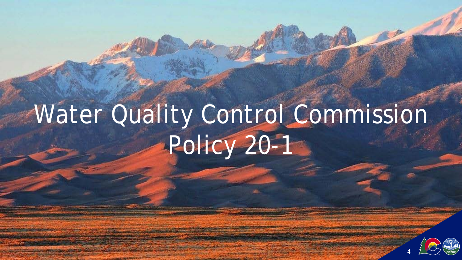# Water Quality Control Commission Policy 20-1

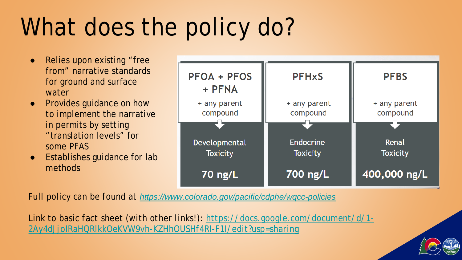## What does the policy do?

- Relies upon existing "free from" narrative standards for ground and surface water
- Provides guidance on how to implement the narrative in permits by setting "translation levels" for some PFAS
- Establishes guidance for lab methods



*Full policy can be found at <https://www.colorado.gov/pacific/cdphe/wqcc-policies>*

*[Link to basic fact sheet \(with other links!\): https://docs.google.com/document/d/1-](https://docs.google.com/document/d/1-2Ay4dJjoIRaHQRlkkOeKVW9vh-KZHhOUSHf4RI-F1I/edit?usp=sharing) 2Ay4dJjoIRaHQRlkkOeKVW9vh-KZHhOUSHf4RI-F1I/edit?usp=sharing*

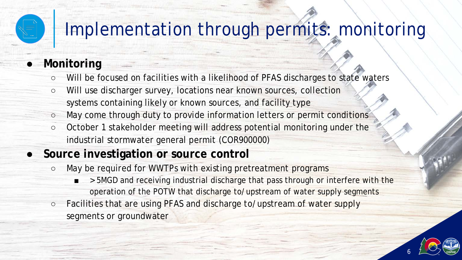## Implementation through permits: monitoring

#### ● **Monitoring**

- Will be focused on facilities with a likelihood of PFAS discharges to state waters
- Will use discharger survey, locations near known sources, collection systems containing likely or known sources, and facility type
- May come through duty to provide information letters or permit conditions
- October 1 stakeholder meeting will address potential monitoring under the industrial stormwater general permit (COR900000)

#### ● **Source investigation or source control**

- May be required for WWTPs with existing pretreatment programs
	- > 5MGD and receiving industrial discharge that pass through or interfere with the operation of the POTW that discharge to/upstream of water supply segments
- Facilities that are using PFAS and discharge to/upstream of water supply segments or groundwater

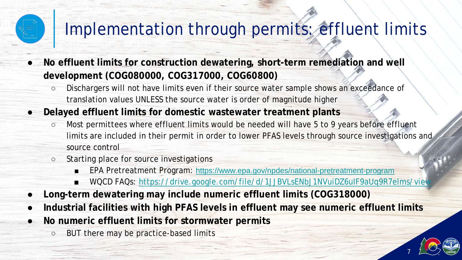## Implementation through permits: effluent limits

● **No effluent limits for construction dewatering, short-term remediation and well development (COG080000, COG317000, COG60800)**

- Dischargers will not have limits even if their source water sample shows an exceedance of translation values UNLESS the source water is order of magnitude higher
- **Delayed effluent limits for domestic wastewater treatment plants** 
	- Most permittees where effluent limits would be needed will have 5 to 9 years before effluent limits are included in their permit in order to lower PFAS levels through source investigations and source control
	- Starting place for source investigations
		- EPA Pretreatment Program: <https://www.epa.gov/npdes/national-pretreatment-program>
		- WQCD FAQs: https://drive.google.com/file/d/1JJBVLsENbJ1NVuiDZ6ulF9aUq9R7elms/view

7

- **Long-term dewatering may include numeric effluent limits (COG318000)**
- Industrial facilities with high PFAS levels in effluent may see numeric effluent limits
- **No numeric effluent limits for stormwater permits** 
	- BUT there may be practice-based limits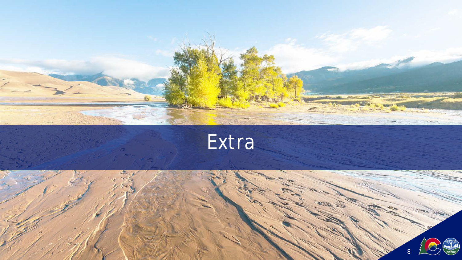

Extra

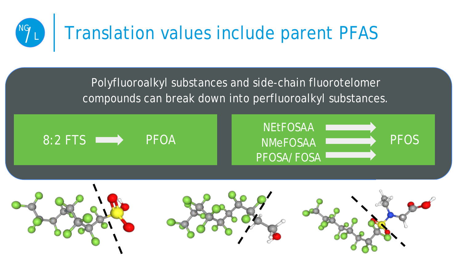

Polyfluoroalkyl substances and side-chain fluorotelomer compounds can break down into perfluoroalkyl substances.









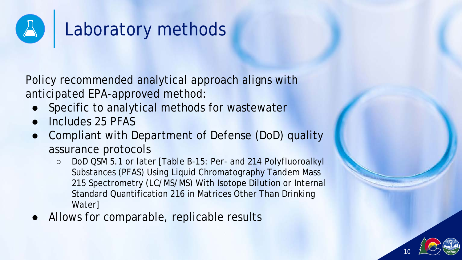

## Laboratory methods

Policy recommended analytical approach aligns with anticipated EPA-approved method:

- Specific to analytical methods for wastewater
- Includes 25 PFAS
- Compliant with Department of Defense (DoD) quality assurance protocols
	- DoD QSM 5.1 or later [Table B-15: Per- and 214 Polyfluoroalkyl Substances (PFAS) Using Liquid Chromatography Tandem Mass 215 Spectrometry (LC/MS/MS) With Isotope Dilution or Internal Standard Quantification 216 in Matrices Other Than Drinking Water]
- Allows for comparable, replicable results